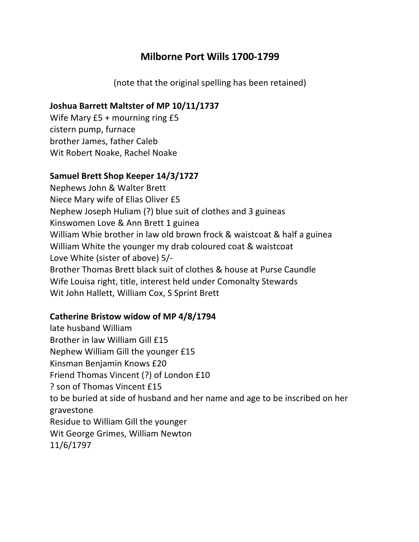## **Milborne Port Wills 1700-1799**

(note that the original spelling has been retained)

#### **Joshua Barrett Maltster of MP 10/11/1737**

Wife Mary £5 + mourning ring £5 cistern pump, furnace brother James, father Caleb Wit Robert Noake, Rachel Noake

#### **Samuel Brett Shop Keeper 14/3/1727**

Nephews John & Walter Brett Niece Mary wife of Elias Oliver £5 Nephew Joseph Huliam (?) blue suit of clothes and 3 guineas Kinswomen Love & Ann Brett 1 guinea William Whie brother in law old brown frock & waistcoat & half a guinea William White the younger my drab coloured coat & waistcoat Love White (sister of above) 5/- Brother Thomas Brett black suit of clothes & house at Purse Caundle Wife Louisa right, title, interest held under Comonalty Stewards Wit John Hallett, William Cox, S Sprint Brett

#### **Catherine Bristow widow of MP 4/8/1794**

late husband William Brother in law William Gill £15 Nephew William Gill the younger £15 Kinsman Benjamin Knows £20 Friend Thomas Vincent (?) of London £10 ? son of Thomas Vincent £15 to be buried at side of husband and her name and age to be inscribed on her gravestone Residue to William Gill the younger Wit George Grimes, William Newton 11/6/1797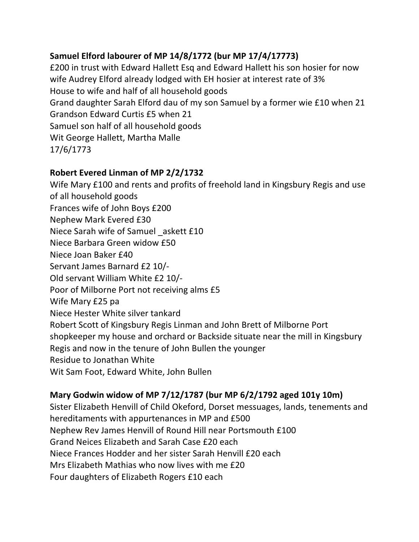## **Samuel Elford labourer of MP 14/8/1772 (bur MP 17/4/17773)**

£200 in trust with Edward Hallett Esq and Edward Hallett his son hosier for now wife Audrey Elford already lodged with EH hosier at interest rate of 3% House to wife and half of all household goods Grand daughter Sarah Elford dau of my son Samuel by a former wie £10 when 21 Grandson Edward Curtis £5 when 21 Samuel son half of all household goods Wit George Hallett, Martha Malle 17/6/1773

### **Robert Evered Linman of MP 2/2/1732**

Wife Mary £100 and rents and profits of freehold land in Kingsbury Regis and use of all household goods Frances wife of John Boys £200 Nephew Mark Evered £30 Niece Sarah wife of Samuel askett £10 Niece Barbara Green widow £50 Niece Joan Baker £40 Servant James Barnard £2 10/- Old servant William White £2 10/- Poor of Milborne Port not receiving alms £5 Wife Mary £25 pa Niece Hester White silver tankard Robert Scott of Kingsbury Regis Linman and John Brett of Milborne Port shopkeeper my house and orchard or Backside situate near the mill in Kingsbury Regis and now in the tenure of John Bullen the younger Residue to Jonathan White Wit Sam Foot, Edward White, John Bullen

### **Mary Godwin widow of MP 7/12/1787 (bur MP 6/2/1792 aged 101y 10m)**

Sister Elizabeth Henvill of Child Okeford, Dorset messuages, lands, tenements and hereditaments with appurtenances in MP and £500 Nephew Rev James Henvill of Round Hill near Portsmouth £100 Grand Neices Elizabeth and Sarah Case £20 each Niece Frances Hodder and her sister Sarah Henvill £20 each Mrs Elizabeth Mathias who now lives with me £20 Four daughters of Elizabeth Rogers £10 each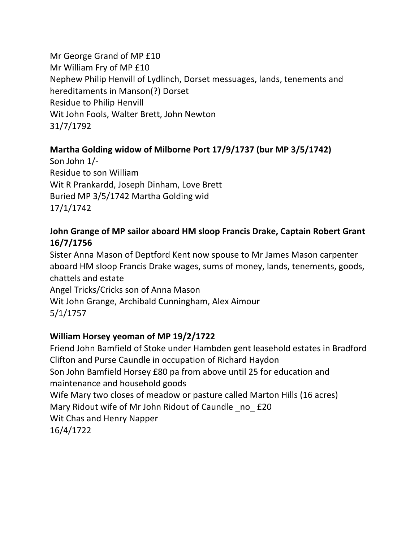Mr George Grand of MP £10 Mr William Fry of MP £10 Nephew Philip Henvill of Lydlinch, Dorset messuages, lands, tenements and hereditaments in Manson(?) Dorset Residue to Philip Henvill Wit John Fools, Walter Brett, John Newton 31/7/1792

### **Martha Golding widow of Milborne Port 17/9/1737 (bur MP 3/5/1742)**

Son John 1/- Residue to son William Wit R Prankardd, Joseph Dinham, Love Brett Buried MP 3/5/1742 Martha Golding wid 17/1/1742

### J**ohn Grange of MP sailor aboard HM sloop Francis Drake, Captain Robert Grant 16/7/1756**

Sister Anna Mason of Deptford Kent now spouse to Mr James Mason carpenter aboard HM sloop Francis Drake wages, sums of money, lands, tenements, goods, chattels and estate Angel Tricks/Cricks son of Anna Mason Wit John Grange, Archibald Cunningham, Alex Aimour

5/1/1757

### **William Horsey yeoman of MP 19/2/1722**

Friend John Bamfield of Stoke under Hambden gent leasehold estates in Bradford Clifton and Purse Caundle in occupation of Richard Haydon Son John Bamfield Horsey £80 pa from above until 25 for education and maintenance and household goods Wife Mary two closes of meadow or pasture called Marton Hills (16 acres) Mary Ridout wife of Mr John Ridout of Caundle no £20 Wit Chas and Henry Napper 16/4/1722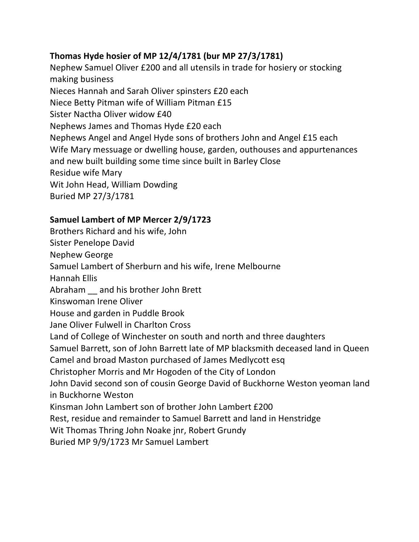## **Thomas Hyde hosier of MP 12/4/1781 (bur MP 27/3/1781)**

Nephew Samuel Oliver £200 and all utensils in trade for hosiery or stocking making business Nieces Hannah and Sarah Oliver spinsters £20 each Niece Betty Pitman wife of William Pitman £15 Sister Nactha Oliver widow £40 Nephews James and Thomas Hyde £20 each Nephews Angel and Angel Hyde sons of brothers John and Angel £15 each Wife Mary messuage or dwelling house, garden, outhouses and appurtenances and new built building some time since built in Barley Close Residue wife Mary Wit John Head, William Dowding Buried MP 27/3/1781

## **Samuel Lambert of MP Mercer 2/9/1723**

Brothers Richard and his wife, John Sister Penelope David Nephew George Samuel Lambert of Sherburn and his wife, Irene Melbourne Hannah Ellis Abraham \_\_ and his brother John Brett Kinswoman Irene Oliver House and garden in Puddle Brook Jane Oliver Fulwell in Charlton Cross Land of College of Winchester on south and north and three daughters Samuel Barrett, son of John Barrett late of MP blacksmith deceased land in Queen Camel and broad Maston purchased of James Medlycott esq Christopher Morris and Mr Hogoden of the City of London John David second son of cousin George David of Buckhorne Weston yeoman land in Buckhorne Weston Kinsman John Lambert son of brother John Lambert £200 Rest, residue and remainder to Samuel Barrett and land in Henstridge Wit Thomas Thring John Noake jnr, Robert Grundy Buried MP 9/9/1723 Mr Samuel Lambert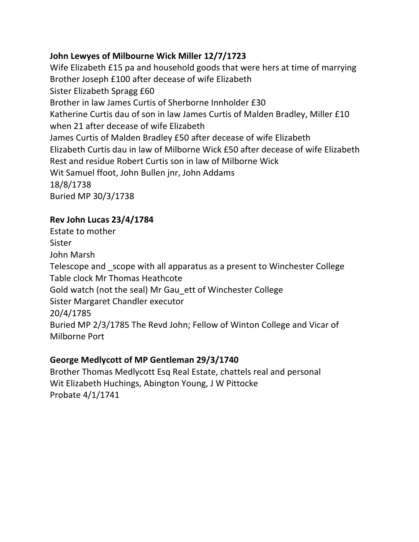## **John Lewyes of Milbourne Wick Miller 12/7/1723**

Wife Elizabeth £15 pa and household goods that were hers at time of marrying Brother Joseph £100 after decease of wife Elizabeth Sister Elizabeth Spragg £60 Brother in law James Curtis of Sherborne Innholder £30 Katherine Curtis dau of son in law James Curtis of Malden Bradley, Miller £10 when 21 after decease of wife Elizabeth James Curtis of Malden Bradley £50 after decease of wife Elizabeth Elizabeth Curtis dau in law of Milborne Wick £50 after decease of wife Elizabeth Rest and residue Robert Curtis son in law of Milborne Wick Wit Samuel ffoot, John Bullen jnr, John Addams 18/8/1738 Buried MP 30/3/1738

## **Rev John Lucas 23/4/1784**

Estate to mother Sister John Marsh Telescope and scope with all apparatus as a present to Winchester College Table clock Mr Thomas Heathcote Gold watch (not the seal) Mr Gau\_ett of Winchester College Sister Margaret Chandler executor 20/4/1785 Buried MP 2/3/1785 The Revd John; Fellow of Winton College and Vicar of Milborne Port

### **George Medlycott of MP Gentleman 29/3/1740**

Brother Thomas Medlycott Esq Real Estate, chattels real and personal Wit Elizabeth Huchings, Abington Young, J W Pittocke Probate 4/1/1741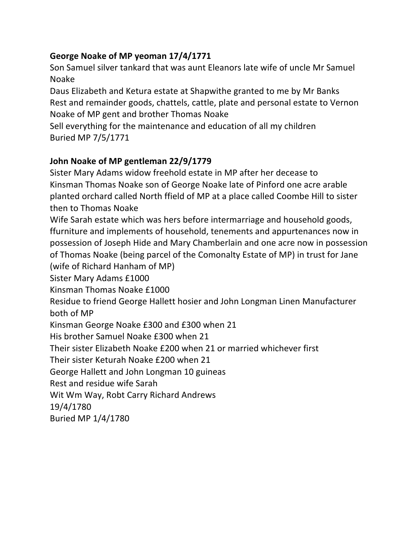# **George Noake of MP yeoman 17/4/1771**

Son Samuel silver tankard that was aunt Eleanors late wife of uncle Mr Samuel Noake

Daus Elizabeth and Ketura estate at Shapwithe granted to me by Mr Banks Rest and remainder goods, chattels, cattle, plate and personal estate to Vernon Noake of MP gent and brother Thomas Noake

Sell everything for the maintenance and education of all my children Buried MP 7/5/1771

## **John Noake of MP gentleman 22/9/1779**

Sister Mary Adams widow freehold estate in MP after her decease to Kinsman Thomas Noake son of George Noake late of Pinford one acre arable planted orchard called North ffield of MP at a place called Coombe Hill to sister then to Thomas Noake

Wife Sarah estate which was hers before intermarriage and household goods, ffurniture and implements of household, tenements and appurtenances now in possession of Joseph Hide and Mary Chamberlain and one acre now in possession of Thomas Noake (being parcel of the Comonalty Estate of MP) in trust for Jane (wife of Richard Hanham of MP)

Sister Mary Adams £1000

Kinsman Thomas Noake £1000

Residue to friend George Hallett hosier and John Longman Linen Manufacturer both of MP

Kinsman George Noake £300 and £300 when 21

His brother Samuel Noake £300 when 21

Their sister Elizabeth Noake £200 when 21 or married whichever first

Their sister Keturah Noake £200 when 21

George Hallett and John Longman 10 guineas

Rest and residue wife Sarah

Wit Wm Way, Robt Carry Richard Andrews

19/4/1780

Buried MP 1/4/1780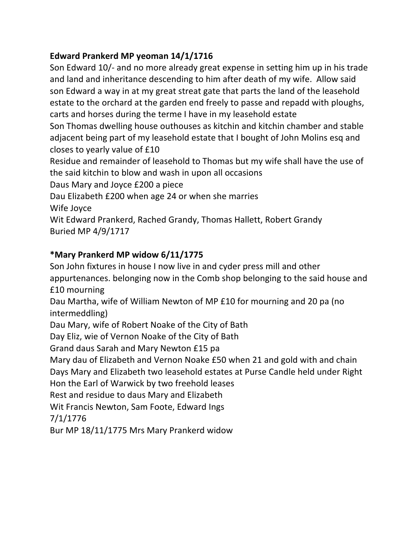## **Edward Prankerd MP yeoman 14/1/1716**

Son Edward 10/- and no more already great expense in setting him up in his trade and land and inheritance descending to him after death of my wife. Allow said son Edward a way in at my great streat gate that parts the land of the leasehold estate to the orchard at the garden end freely to passe and repadd with ploughs, carts and horses during the terme I have in my leasehold estate Son Thomas dwelling house outhouses as kitchin and kitchin chamber and stable adjacent being part of my leasehold estate that I bought of John Molins esq and closes to yearly value of £10 Residue and remainder of leasehold to Thomas but my wife shall have the use of the said kitchin to blow and wash in upon all occasions Daus Mary and Joyce £200 a piece Dau Elizabeth £200 when age 24 or when she marries Wife Joyce Wit Edward Prankerd, Rached Grandy, Thomas Hallett, Robert Grandy

Buried MP 4/9/1717

# **\*Mary Prankerd MP widow 6/11/1775**

Son John fixtures in house I now live in and cyder press mill and other appurtenances. belonging now in the Comb shop belonging to the said house and £10 mourning Dau Martha, wife of William Newton of MP £10 for mourning and 20 pa (no intermeddling) Dau Mary, wife of Robert Noake of the City of Bath Day Eliz, wie of Vernon Noake of the City of Bath Grand daus Sarah and Mary Newton £15 pa Mary dau of Elizabeth and Vernon Noake £50 when 21 and gold with and chain Days Mary and Elizabeth two leasehold estates at Purse Candle held under Right Hon the Earl of Warwick by two freehold leases Rest and residue to daus Mary and Elizabeth Wit Francis Newton, Sam Foote, Edward Ings 7/1/1776 Bur MP 18/11/1775 Mrs Mary Prankerd widow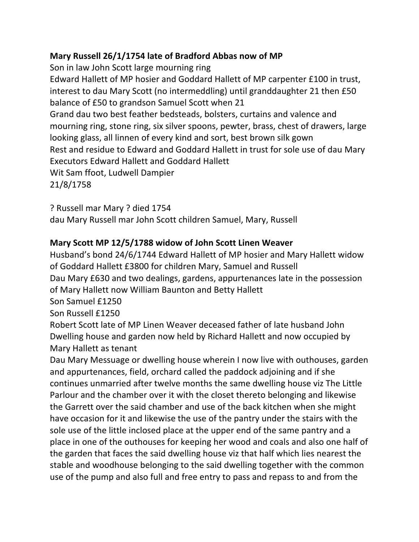## **Mary Russell 26/1/1754 late of Bradford Abbas now of MP**

Son in law John Scott large mourning ring Edward Hallett of MP hosier and Goddard Hallett of MP carpenter £100 in trust, interest to dau Mary Scott (no intermeddling) until granddaughter 21 then £50 balance of £50 to grandson Samuel Scott when 21 Grand dau two best feather bedsteads, bolsters, curtains and valence and mourning ring, stone ring, six silver spoons, pewter, brass, chest of drawers, large looking glass, all linnen of every kind and sort, best brown silk gown Rest and residue to Edward and Goddard Hallett in trust for sole use of dau Mary Executors Edward Hallett and Goddard Hallett Wit Sam ffoot, Ludwell Dampier 21/8/1758

? Russell mar Mary ? died 1754 dau Mary Russell mar John Scott children Samuel, Mary, Russell

## **Mary Scott MP 12/5/1788 widow of John Scott Linen Weaver**

Husband's bond 24/6/1744 Edward Hallett of MP hosier and Mary Hallett widow of Goddard Hallett £3800 for children Mary, Samuel and Russell Dau Mary £630 and two dealings, gardens, appurtenances late in the possession of Mary Hallett now William Baunton and Betty Hallett

Son Samuel £1250

Son Russell £1250

Robert Scott late of MP Linen Weaver deceased father of late husband John Dwelling house and garden now held by Richard Hallett and now occupied by Mary Hallett as tenant

Dau Mary Messuage or dwelling house wherein I now live with outhouses, garden and appurtenances, field, orchard called the paddock adjoining and if she continues unmarried after twelve months the same dwelling house viz The Little Parlour and the chamber over it with the closet thereto belonging and likewise the Garrett over the said chamber and use of the back kitchen when she might have occasion for it and likewise the use of the pantry under the stairs with the sole use of the little inclosed place at the upper end of the same pantry and a place in one of the outhouses for keeping her wood and coals and also one half of the garden that faces the said dwelling house viz that half which lies nearest the stable and woodhouse belonging to the said dwelling together with the common use of the pump and also full and free entry to pass and repass to and from the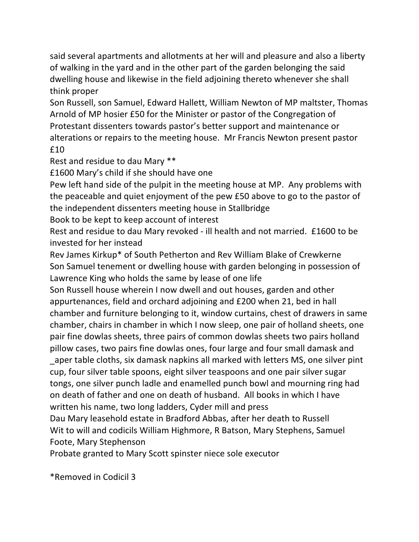said several apartments and allotments at her will and pleasure and also a liberty of walking in the yard and in the other part of the garden belonging the said dwelling house and likewise in the field adjoining thereto whenever she shall think proper

Son Russell, son Samuel, Edward Hallett, William Newton of MP maltster, Thomas Arnold of MP hosier £50 for the Minister or pastor of the Congregation of Protestant dissenters towards pastor's better support and maintenance or alterations or repairs to the meeting house. Mr Francis Newton present pastor £10

Rest and residue to dau Mary \*\*

£1600 Mary's child if she should have one

Pew left hand side of the pulpit in the meeting house at MP. Any problems with the peaceable and quiet enjoyment of the pew £50 above to go to the pastor of the independent dissenters meeting house in Stallbridge

Book to be kept to keep account of interest

Rest and residue to dau Mary revoked - ill health and not married. £1600 to be invested for her instead

Rev James Kirkup\* of South Petherton and Rev William Blake of Crewkerne Son Samuel tenement or dwelling house with garden belonging in possession of Lawrence King who holds the same by lease of one life

Son Russell house wherein I now dwell and out houses, garden and other appurtenances, field and orchard adjoining and £200 when 21, bed in hall chamber and furniture belonging to it, window curtains, chest of drawers in same chamber, chairs in chamber in which I now sleep, one pair of holland sheets, one pair fine dowlas sheets, three pairs of common dowlas sheets two pairs holland pillow cases, two pairs fine dowlas ones, four large and four small damask and

aper table cloths, six damask napkins all marked with letters MS, one silver pint cup, four silver table spoons, eight silver teaspoons and one pair silver sugar tongs, one silver punch ladle and enamelled punch bowl and mourning ring had on death of father and one on death of husband. All books in which I have written his name, two long ladders, Cyder mill and press

Dau Mary leasehold estate in Bradford Abbas, after her death to Russell Wit to will and codicils William Highmore, R Batson, Mary Stephens, Samuel Foote, Mary Stephenson

Probate granted to Mary Scott spinster niece sole executor

\*Removed in Codicil 3